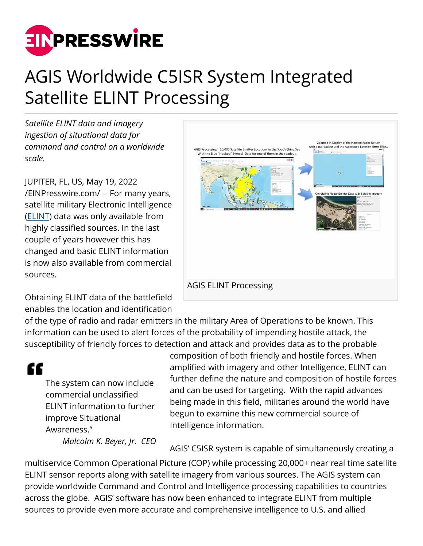

## AGIS Worldwide C5ISR System Integrated Satellite ELINT Processing

*Satellite ELINT data and imagery ingestion of situational data for command and control on a worldwide scale.*

JUPITER, FL, US, May 19, 2022 [/EINPresswire.com/](http://www.einpresswire.com) -- For many years, satellite military Electronic Intelligence ([ELINT](https://en.wikipedia.org/wiki/Signals_intelligence)) data was only available from highly classified sources. In the last couple of years however this has changed and basic ELINT information is now also available from commercial sources.

Obtaining ELINT data of the battlefield enables the location and identification



of the type of radio and radar emitters in the military Area of Operations to be known. This information can be used to alert forces of the probability of impending hostile attack, the susceptibility of friendly forces to detection and attack and provides data as to the probable

## ££

The system can now include commercial unclassified ELINT information to further improve Situational Awareness."

*Malcolm K. Beyer, Jr. CEO*

composition of both friendly and hostile forces. When amplified with imagery and other Intelligence, ELINT can further define the nature and composition of hostile forces and can be used for targeting. With the rapid advances being made in this field, militaries around the world have begun to examine this new commercial source of Intelligence information.

AGIS' C5ISR system is capable of simultaneously creating a

multiservice Common Operational Picture (COP) while processing 20,000+ near real time satellite ELINT sensor reports along with satellite imagery from various sources. The AGIS system can provide worldwide Command and Control and Intelligence processing capabilities to countries across the globe. AGIS' software has now been enhanced to integrate ELINT from multiple sources to provide even more accurate and comprehensive intelligence to U.S. and allied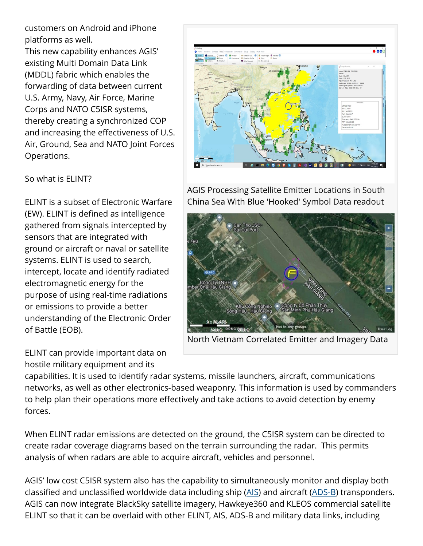customers on Android and iPhone platforms as well.

This new capability enhances AGIS' existing Multi Domain Data Link (MDDL) fabric which enables the forwarding of data between current U.S. Army, Navy, Air Force, Marine Corps and NATO C5ISR systems, thereby creating a synchronized COP and increasing the effectiveness of U.S. Air, Ground, Sea and NATO Joint Forces Operations.

## So what is ELINT?

ELINT is a subset of Electronic Warfare (EW). ELINT is defined as intelligence gathered from signals intercepted by sensors that are integrated with ground or aircraft or naval or satellite systems. ELINT is used to search, intercept, locate and identify radiated electromagnetic energy for the purpose of using real-time radiations or emissions to provide a better understanding of the Electronic Order of Battle (EOB).







AGIS Processing Satellite Emitter Locations in South China Sea With Blue 'Hooked' Symbol Data readout



North Vietnam Correlated Emitter and Imagery Data

capabilities. It is used to identify radar systems, missile launchers, aircraft, communications networks, as well as other electronics-based weaponry. This information is used by commanders to help plan their operations more effectively and take actions to avoid detection by enemy forces.

When ELINT radar emissions are detected on the ground, the C5ISR system can be directed to create radar coverage diagrams based on the terrain surrounding the radar. This permits analysis of when radars are able to acquire aircraft, vehicles and personnel.

AGIS' low cost C5ISR system also has the capability to simultaneously monitor and display both classified and unclassified worldwide data including ship ([AIS](https://en.wikipedia.org/wiki/Automatic_identification_system)) and aircraft ([ADS-B](https://en.wikipedia.org/wiki/Automatic_Dependent_Surveillance%E2%80%93Broadcast)) transponders. AGIS can now integrate BlackSky satellite imagery, Hawkeye360 and KLEOS commercial satellite ELINT so that it can be overlaid with other ELINT, AIS, ADS-B and military data links, including